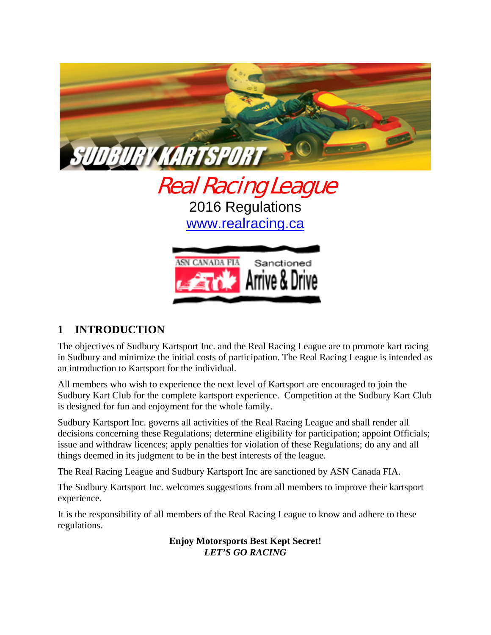

Real Racing League 2016 Regulations www.realracing.ca



## **1 INTRODUCTION**

The objectives of Sudbury Kartsport Inc. and the Real Racing League are to promote kart racing in Sudbury and minimize the initial costs of participation. The Real Racing League is intended as an introduction to Kartsport for the individual.

All members who wish to experience the next level of Kartsport are encouraged to join the Sudbury Kart Club for the complete kartsport experience. Competition at the Sudbury Kart Club is designed for fun and enjoyment for the whole family.

Sudbury Kartsport Inc. governs all activities of the Real Racing League and shall render all decisions concerning these Regulations; determine eligibility for participation; appoint Officials; issue and withdraw licences; apply penalties for violation of these Regulations; do any and all things deemed in its judgment to be in the best interests of the league.

The Real Racing League and Sudbury Kartsport Inc are sanctioned by ASN Canada FIA.

The Sudbury Kartsport Inc. welcomes suggestions from all members to improve their kartsport experience.

It is the responsibility of all members of the Real Racing League to know and adhere to these regulations.

> **Enjoy Motorsports Best Kept Secret!**  *LET'S GO RACING*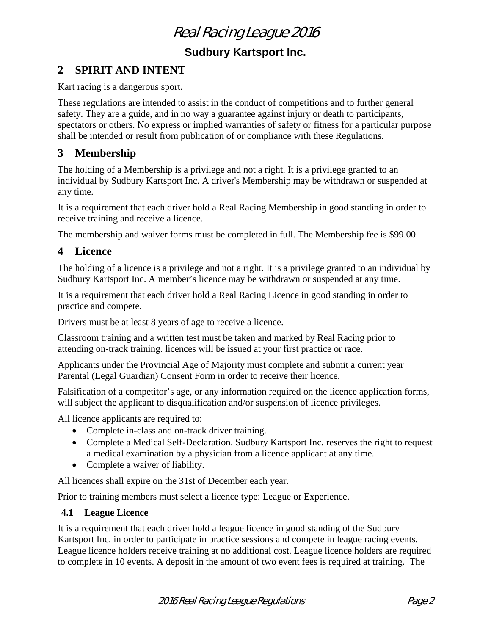**Sudbury Kartsport Inc.** 

## **2 SPIRIT AND INTENT**

Kart racing is a dangerous sport.

These regulations are intended to assist in the conduct of competitions and to further general safety. They are a guide, and in no way a guarantee against injury or death to participants, spectators or others. No express or implied warranties of safety or fitness for a particular purpose shall be intended or result from publication of or compliance with these Regulations.

### **3 Membership**

The holding of a Membership is a privilege and not a right. It is a privilege granted to an individual by Sudbury Kartsport Inc. A driver's Membership may be withdrawn or suspended at any time.

It is a requirement that each driver hold a Real Racing Membership in good standing in order to receive training and receive a licence.

The membership and waiver forms must be completed in full. The Membership fee is \$99.00.

### **4 Licence**

The holding of a licence is a privilege and not a right. It is a privilege granted to an individual by Sudbury Kartsport Inc. A member's licence may be withdrawn or suspended at any time.

It is a requirement that each driver hold a Real Racing Licence in good standing in order to practice and compete.

Drivers must be at least 8 years of age to receive a licence.

Classroom training and a written test must be taken and marked by Real Racing prior to attending on-track training. licences will be issued at your first practice or race.

Applicants under the Provincial Age of Majority must complete and submit a current year Parental (Legal Guardian) Consent Form in order to receive their licence.

Falsification of a competitor's age, or any information required on the licence application forms, will subject the applicant to disqualification and/or suspension of licence privileges.

All licence applicants are required to:

- Complete in-class and on-track driver training.
- Complete a Medical Self-Declaration. Sudbury Kartsport Inc. reserves the right to request a medical examination by a physician from a licence applicant at any time.
- Complete a waiver of liability.

All licences shall expire on the 31st of December each year.

Prior to training members must select a licence type: League or Experience.

#### **4.1 League Licence**

It is a requirement that each driver hold a league licence in good standing of the Sudbury Kartsport Inc. in order to participate in practice sessions and compete in league racing events. League licence holders receive training at no additional cost. League licence holders are required to complete in 10 events. A deposit in the amount of two event fees is required at training. The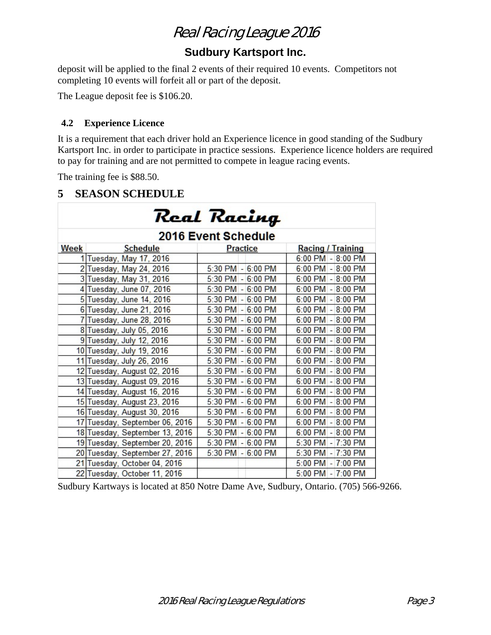## **Sudbury Kartsport Inc.**

deposit will be applied to the final 2 events of their required 10 events. Competitors not completing 10 events will forfeit all or part of the deposit.

The League deposit fee is \$106.20.

#### **4.2 Experience Licence**

It is a requirement that each driver hold an Experience licence in good standing of the Sudbury Kartsport Inc. in order to participate in practice sessions. Experience licence holders are required to pay for training and are not permitted to compete in league racing events.

The training fee is \$88.50.

### **5 SEASON SCHEDULE**

| Real Racing |                                |                                                |                          |
|-------------|--------------------------------|------------------------------------------------|--------------------------|
|             |                                | <b>2016 Event Schedule</b>                     |                          |
| Week        | <b>Schedule</b>                | <b>Practice</b>                                | <b>Racing / Training</b> |
|             | 1 Tuesday, May 17, 2016        |                                                | $6:00$ PM $- 8:00$ PM    |
|             | 2 Tuesday, May 24, 2016        | 5:30 PM - 6:00 PM                              | 6:00 PM - 8:00 PM        |
|             | 3 Tuesday, May 31, 2016        | 5:30 PM - 6:00 PM                              | $6:00$ PM $-8:00$ PM     |
|             | 4 Tuesday, June 07, 2016       | 5:30 PM - 6:00 PM                              | $6:00$ PM $-8:00$ PM     |
|             | 5 Tuesday, June 14, 2016       | 5:30 PM - 6:00 PM                              | $6:00$ PM $-8:00$ PM     |
|             | 6 Tuesday, June 21, 2016       | $5:30$ PM $-6:00$ PM                           | $6:00$ PM $-8:00$ PM     |
|             | 7 Tuesday, June 28, 2016       | 5:30 PM - 6:00 PM                              | $6:00$ PM $-8:00$ PM     |
|             | 8 Tuesday, July 05, 2016       | $5:30$ PM $-$<br>6:00 PM                       | $6:00$ PM $-8:00$ PM     |
|             | 9 Tuesday, July 12, 2016       | 5:30 PM - 6:00 PM                              | $6:00$ PM $-8:00$ PM     |
|             | 10 Tuesday, July 19, 2016      | $5:30$ PM $-$<br>$6:00$ PM                     | 6:00 PM - 8:00 PM        |
|             | 11 Tuesday, July 26, 2016      | 5:30 PM - 6:00 PM                              | $6:00$ PM $-8:00$ PM     |
|             | 12 Tuesday, August 02, 2016    | $5:30$ PM $-$<br>$6:00$ PM                     | $6:00$ PM $-8:00$ PM     |
|             | 13 Tuesday, August 09, 2016    | 6:00 PM<br>$5:30$ PM $-$                       | 6:00 PM - 8:00 PM        |
|             | 14 Tuesday, August 16, 2016    | 5:30 PM<br>6:00 PM<br>$\omega$                 | $6:00$ PM $-8:00$ PM     |
|             | 15 Tuesday, August 23, 2016    | 5:30 PM - 6:00 PM                              | 6:00 PM - 8:00 PM        |
|             | 16 Tuesday, August 30, 2016    | 5:30 PM<br>6:00 PM<br>$\omega$                 | 6:00 PM - 8:00 PM        |
|             | 17 Tuesday, September 06, 2016 | 5:30 PM<br>6:00 PM<br>$\overline{\phantom{a}}$ | 6:00 PM - 8:00 PM        |
|             | 18 Tuesday, September 13, 2016 | 5:30 PM<br>$6:00$ PM<br>$\omega$               | $6:00$ PM<br>$-8:00$ PM  |
|             | 19 Tuesday, September 20, 2016 | $5:30$ PM $-6:00$ PM                           | 5:30 PM - 7:30 PM        |
|             | 20 Tuesday, September 27, 2016 | 5:30 PM - 6:00 PM                              | 5:30 PM - 7:30 PM        |
|             | 21 Tuesday, October 04, 2016   |                                                | 5:00 PM - 7:00 PM        |
|             | 22 Tuesday, October 11, 2016   |                                                | 5:00 PM - 7:00 PM        |

Sudbury Kartways is located at 850 Notre Dame Ave, Sudbury, Ontario. (705) 566-9266.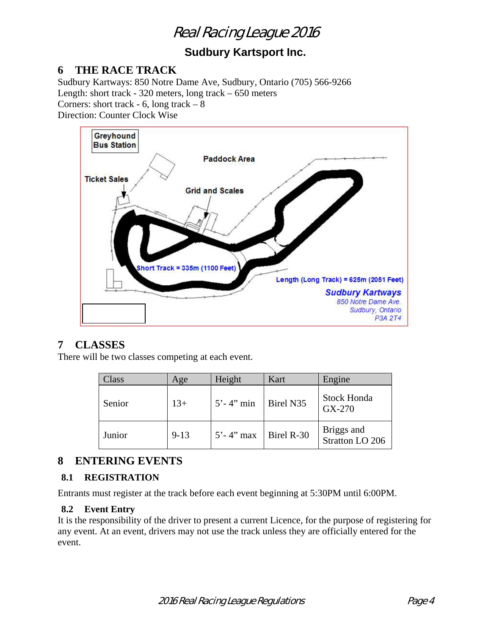## **Sudbury Kartsport Inc.**

### **6 THE RACE TRACK**

Sudbury Kartways: 850 Notre Dame Ave, Sudbury, Ontario (705) 566-9266 Length: short track - 320 meters, long track – 650 meters Corners: short track  $-6$ , long track  $-8$ 

Direction: Counter Clock Wise



## **7 CLASSES**

There will be two classes competing at each event.

| 'lass  | Age      | Height         | Kart       | Engine                        |
|--------|----------|----------------|------------|-------------------------------|
| Senior | $13+$    | $5' - 4''$ min | Birel N35  | <b>Stock Honda</b><br>GX-270  |
| Junior | $9 - 13$ | $5' - 4''$ max | Birel R-30 | Briggs and<br>Stratton LO 206 |

## **8 ENTERING EVENTS**

#### **8.1 REGISTRATION**

Entrants must register at the track before each event beginning at 5:30PM until 6:00PM.

#### **8.2 Event Entry**

It is the responsibility of the driver to present a current Licence, for the purpose of registering for any event. At an event, drivers may not use the track unless they are officially entered for the event.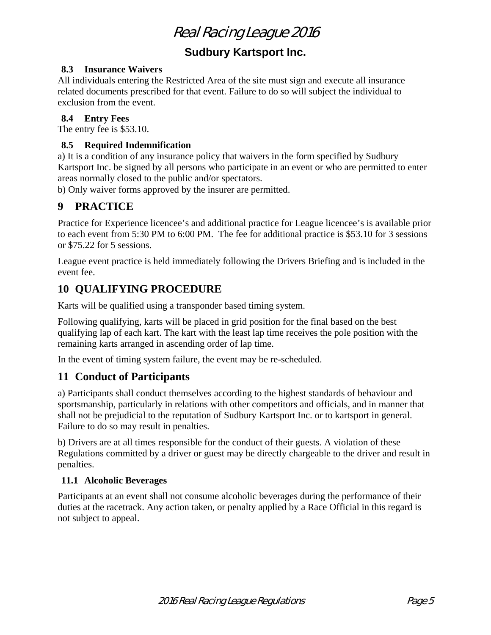## **Sudbury Kartsport Inc.**

#### **8.3 Insurance Waivers**

All individuals entering the Restricted Area of the site must sign and execute all insurance related documents prescribed for that event. Failure to do so will subject the individual to exclusion from the event.

#### **8.4 Entry Fees**

The entry fee is \$53.10.

#### **8.5 Required Indemnification**

a) It is a condition of any insurance policy that waivers in the form specified by Sudbury Kartsport Inc. be signed by all persons who participate in an event or who are permitted to enter areas normally closed to the public and/or spectators.

b) Only waiver forms approved by the insurer are permitted.

## **9 PRACTICE**

Practice for Experience licencee's and additional practice for League licencee's is available prior to each event from 5:30 PM to 6:00 PM. The fee for additional practice is \$53.10 for 3 sessions or \$75.22 for 5 sessions.

League event practice is held immediately following the Drivers Briefing and is included in the event fee.

## **10 QUALIFYING PROCEDURE**

Karts will be qualified using a transponder based timing system.

Following qualifying, karts will be placed in grid position for the final based on the best qualifying lap of each kart. The kart with the least lap time receives the pole position with the remaining karts arranged in ascending order of lap time.

In the event of timing system failure, the event may be re-scheduled.

## **11 Conduct of Participants**

a) Participants shall conduct themselves according to the highest standards of behaviour and sportsmanship, particularly in relations with other competitors and officials, and in manner that shall not be prejudicial to the reputation of Sudbury Kartsport Inc. or to kartsport in general. Failure to do so may result in penalties.

b) Drivers are at all times responsible for the conduct of their guests. A violation of these Regulations committed by a driver or guest may be directly chargeable to the driver and result in penalties.

#### **11.1 Alcoholic Beverages**

Participants at an event shall not consume alcoholic beverages during the performance of their duties at the racetrack. Any action taken, or penalty applied by a Race Official in this regard is not subject to appeal.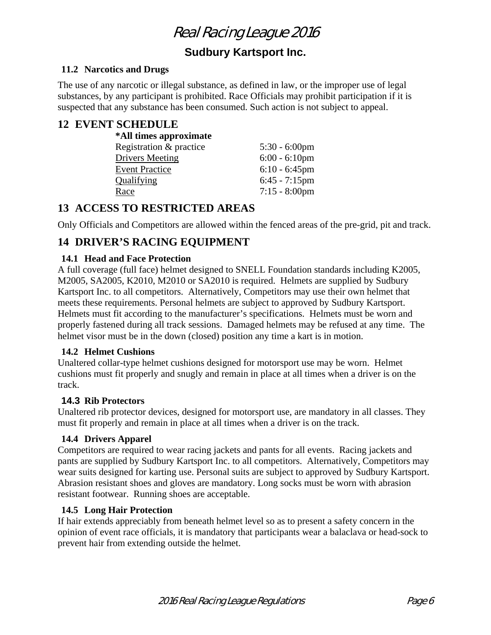## **Sudbury Kartsport Inc.**

#### **11.2 Narcotics and Drugs**

The use of any narcotic or illegal substance, as defined in law, or the improper use of legal substances, by any participant is prohibited. Race Officials may prohibit participation if it is suspected that any substance has been consumed. Such action is not subject to appeal.

### **12 EVENT SCHEDULE**

| *All times approximate  |                  |
|-------------------------|------------------|
| Registration & practice | $5:30 - 6:00$ pm |
| <b>Drivers Meeting</b>  | $6:00 - 6:10$ pm |
| <b>Event Practice</b>   | $6:10 - 6:45$ pm |
| Qualifying              | $6:45 - 7:15$ pm |
| Race                    | $7:15 - 8:00$ pm |

## **13 ACCESS TO RESTRICTED AREAS**

Only Officials and Competitors are allowed within the fenced areas of the pre-grid, pit and track.

## **14 DRIVER'S RACING EQUIPMENT**

#### **14.1 Head and Face Protection**

A full coverage (full face) helmet designed to SNELL Foundation standards including K2005, M2005, SA2005, K2010, M2010 or SA2010 is required. Helmets are supplied by Sudbury Kartsport Inc. to all competitors. Alternatively, Competitors may use their own helmet that meets these requirements. Personal helmets are subject to approved by Sudbury Kartsport. Helmets must fit according to the manufacturer's specifications. Helmets must be worn and properly fastened during all track sessions. Damaged helmets may be refused at any time. The helmet visor must be in the down (closed) position any time a kart is in motion.

#### **14.2 Helmet Cushions**

Unaltered collar-type helmet cushions designed for motorsport use may be worn. Helmet cushions must fit properly and snugly and remain in place at all times when a driver is on the track.

#### **14.3 Rib Protectors**

Unaltered rib protector devices, designed for motorsport use, are mandatory in all classes. They must fit properly and remain in place at all times when a driver is on the track.

#### **14.4 Drivers Apparel**

Competitors are required to wear racing jackets and pants for all events. Racing jackets and pants are supplied by Sudbury Kartsport Inc. to all competitors. Alternatively, Competitors may wear suits designed for karting use. Personal suits are subject to approved by Sudbury Kartsport. Abrasion resistant shoes and gloves are mandatory. Long socks must be worn with abrasion resistant footwear. Running shoes are acceptable.

#### **14.5 Long Hair Protection**

If hair extends appreciably from beneath helmet level so as to present a safety concern in the opinion of event race officials, it is mandatory that participants wear a balaclava or head-sock to prevent hair from extending outside the helmet.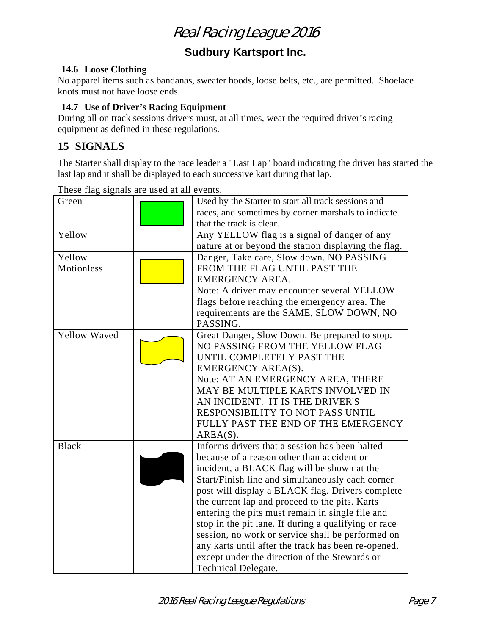## **Sudbury Kartsport Inc.**

#### **14.6 Loose Clothing**

No apparel items such as bandanas, sweater hoods, loose belts, etc., are permitted. Shoelace knots must not have loose ends.

#### **14.7 Use of Driver's Racing Equipment**

During all on track sessions drivers must, at all times, wear the required driver's racing equipment as defined in these regulations.

## **15 SIGNALS**

The Starter shall display to the race leader a "Last Lap" board indicating the driver has started the last lap and it shall be displayed to each successive kart during that lap.

|                             | These that signals are ased at all events. |                                                                                                                                                                                                                                                                                                                                                                                                                                                                                                                                                                                                       |
|-----------------------------|--------------------------------------------|-------------------------------------------------------------------------------------------------------------------------------------------------------------------------------------------------------------------------------------------------------------------------------------------------------------------------------------------------------------------------------------------------------------------------------------------------------------------------------------------------------------------------------------------------------------------------------------------------------|
| Green                       |                                            | Used by the Starter to start all track sessions and<br>races, and sometimes by corner marshals to indicate<br>that the track is clear.                                                                                                                                                                                                                                                                                                                                                                                                                                                                |
| Yellow                      |                                            | Any YELLOW flag is a signal of danger of any<br>nature at or beyond the station displaying the flag.                                                                                                                                                                                                                                                                                                                                                                                                                                                                                                  |
| Yellow<br><b>Motionless</b> |                                            | Danger, Take care, Slow down. NO PASSING<br>FROM THE FLAG UNTIL PAST THE<br><b>EMERGENCY AREA.</b><br>Note: A driver may encounter several YELLOW<br>flags before reaching the emergency area. The<br>requirements are the SAME, SLOW DOWN, NO<br>PASSING.                                                                                                                                                                                                                                                                                                                                            |
| <b>Yellow Waved</b>         |                                            | Great Danger, Slow Down. Be prepared to stop.<br>NO PASSING FROM THE YELLOW FLAG<br>UNTIL COMPLETELY PAST THE<br>EMERGENCY AREA(S).<br>Note: AT AN EMERGENCY AREA, THERE<br>MAY BE MULTIPLE KARTS INVOLVED IN<br>AN INCIDENT. IT IS THE DRIVER'S<br>RESPONSIBILITY TO NOT PASS UNTIL<br>FULLY PAST THE END OF THE EMERGENCY<br>$AREA(S)$ .                                                                                                                                                                                                                                                            |
| <b>Black</b>                |                                            | Informs drivers that a session has been halted<br>because of a reason other than accident or<br>incident, a BLACK flag will be shown at the<br>Start/Finish line and simultaneously each corner<br>post will display a BLACK flag. Drivers complete<br>the current lap and proceed to the pits. Karts<br>entering the pits must remain in single file and<br>stop in the pit lane. If during a qualifying or race<br>session, no work or service shall be performed on<br>any karts until after the track has been re-opened,<br>except under the direction of the Stewards or<br>Technical Delegate. |

These flag signals are used at all events.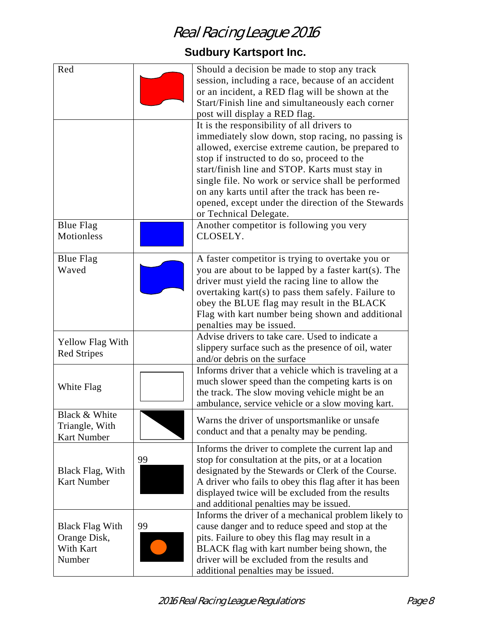## **Sudbury Kartsport Inc.**

| Red                                                           |    | Should a decision be made to stop any track<br>session, including a race, because of an accident<br>or an incident, a RED flag will be shown at the<br>Start/Finish line and simultaneously each corner<br>post will display a RED flag.                                                                                                                                                                                                       |
|---------------------------------------------------------------|----|------------------------------------------------------------------------------------------------------------------------------------------------------------------------------------------------------------------------------------------------------------------------------------------------------------------------------------------------------------------------------------------------------------------------------------------------|
|                                                               |    | It is the responsibility of all drivers to<br>immediately slow down, stop racing, no passing is<br>allowed, exercise extreme caution, be prepared to<br>stop if instructed to do so, proceed to the<br>start/finish line and STOP. Karts must stay in<br>single file. No work or service shall be performed<br>on any karts until after the track has been re-<br>opened, except under the direction of the Stewards<br>or Technical Delegate. |
| <b>Blue Flag</b><br><b>Motionless</b>                         |    | Another competitor is following you very<br>CLOSELY.                                                                                                                                                                                                                                                                                                                                                                                           |
| <b>Blue Flag</b><br>Waved                                     |    | A faster competitor is trying to overtake you or<br>you are about to be lapped by a faster kart(s). The<br>driver must yield the racing line to allow the<br>overtaking kart(s) to pass them safely. Failure to<br>obey the BLUE flag may result in the BLACK<br>Flag with kart number being shown and additional<br>penalties may be issued.                                                                                                  |
| <b>Yellow Flag With</b><br><b>Red Stripes</b>                 |    | Advise drivers to take care. Used to indicate a<br>slippery surface such as the presence of oil, water<br>and/or debris on the surface                                                                                                                                                                                                                                                                                                         |
| White Flag                                                    |    | Informs driver that a vehicle which is traveling at a<br>much slower speed than the competing karts is on<br>the track. The slow moving vehicle might be an<br>ambulance, service vehicle or a slow moving kart.                                                                                                                                                                                                                               |
| Black & White<br>Triangle, With<br><b>Kart Number</b>         |    | Warns the driver of unsportsmanlike or unsafe<br>conduct and that a penalty may be pending.                                                                                                                                                                                                                                                                                                                                                    |
| Black Flag, With<br><b>Kart Number</b>                        | 99 | Informs the driver to complete the current lap and<br>stop for consultation at the pits, or at a location<br>designated by the Stewards or Clerk of the Course.<br>A driver who fails to obey this flag after it has been<br>displayed twice will be excluded from the results<br>and additional penalties may be issued.                                                                                                                      |
| <b>Black Flag With</b><br>Orange Disk,<br>With Kart<br>Number | 99 | Informs the driver of a mechanical problem likely to<br>cause danger and to reduce speed and stop at the<br>pits. Failure to obey this flag may result in a<br>BLACK flag with kart number being shown, the<br>driver will be excluded from the results and<br>additional penalties may be issued.                                                                                                                                             |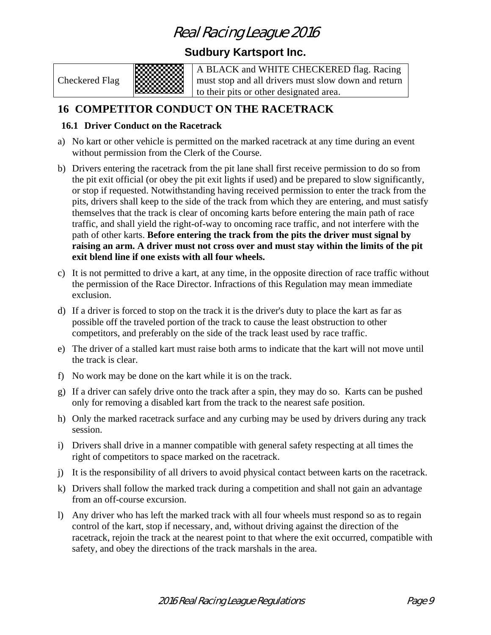### **Sudbury Kartsport Inc.**

Checkered Flag



A BLACK and WHITE CHECKERED flag. Racing must stop and all drivers must slow down and return to their pits or other designated area.

## **16 COMPETITOR CONDUCT ON THE RACETRACK**

#### **16.1 Driver Conduct on the Racetrack**

- a) No kart or other vehicle is permitted on the marked racetrack at any time during an event without permission from the Clerk of the Course.
- b) Drivers entering the racetrack from the pit lane shall first receive permission to do so from the pit exit official (or obey the pit exit lights if used) and be prepared to slow significantly, or stop if requested. Notwithstanding having received permission to enter the track from the pits, drivers shall keep to the side of the track from which they are entering, and must satisfy themselves that the track is clear of oncoming karts before entering the main path of race traffic, and shall yield the right-of-way to oncoming race traffic, and not interfere with the path of other karts. **Before entering the track from the pits the driver must signal by raising an arm. A driver must not cross over and must stay within the limits of the pit exit blend line if one exists with all four wheels.**
- c) It is not permitted to drive a kart, at any time, in the opposite direction of race traffic without the permission of the Race Director. Infractions of this Regulation may mean immediate exclusion.
- d) If a driver is forced to stop on the track it is the driver's duty to place the kart as far as possible off the traveled portion of the track to cause the least obstruction to other competitors, and preferably on the side of the track least used by race traffic.
- e) The driver of a stalled kart must raise both arms to indicate that the kart will not move until the track is clear.
- f) No work may be done on the kart while it is on the track.
- g) If a driver can safely drive onto the track after a spin, they may do so. Karts can be pushed only for removing a disabled kart from the track to the nearest safe position.
- h) Only the marked racetrack surface and any curbing may be used by drivers during any track session.
- i) Drivers shall drive in a manner compatible with general safety respecting at all times the right of competitors to space marked on the racetrack.
- j) It is the responsibility of all drivers to avoid physical contact between karts on the racetrack.
- k) Drivers shall follow the marked track during a competition and shall not gain an advantage from an off-course excursion.
- l) Any driver who has left the marked track with all four wheels must respond so as to regain control of the kart, stop if necessary, and, without driving against the direction of the racetrack, rejoin the track at the nearest point to that where the exit occurred, compatible with safety, and obey the directions of the track marshals in the area.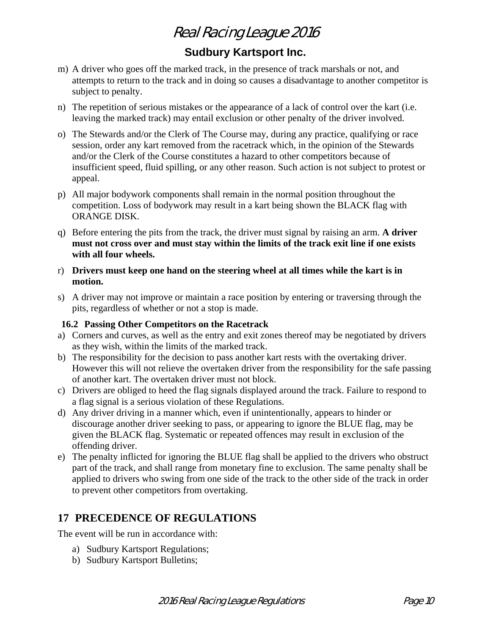## **Sudbury Kartsport Inc.**

- m) A driver who goes off the marked track, in the presence of track marshals or not, and attempts to return to the track and in doing so causes a disadvantage to another competitor is subject to penalty.
- n) The repetition of serious mistakes or the appearance of a lack of control over the kart (i.e. leaving the marked track) may entail exclusion or other penalty of the driver involved.
- o) The Stewards and/or the Clerk of The Course may, during any practice, qualifying or race session, order any kart removed from the racetrack which, in the opinion of the Stewards and/or the Clerk of the Course constitutes a hazard to other competitors because of insufficient speed, fluid spilling, or any other reason. Such action is not subject to protest or appeal.
- p) All major bodywork components shall remain in the normal position throughout the competition. Loss of bodywork may result in a kart being shown the BLACK flag with ORANGE DISK.
- q) Before entering the pits from the track, the driver must signal by raising an arm. **A driver must not cross over and must stay within the limits of the track exit line if one exists with all four wheels.**
- r) **Drivers must keep one hand on the steering wheel at all times while the kart is in motion.**
- s) A driver may not improve or maintain a race position by entering or traversing through the pits, regardless of whether or not a stop is made.

#### **16.2 Passing Other Competitors on the Racetrack**

- a) Corners and curves, as well as the entry and exit zones thereof may be negotiated by drivers as they wish, within the limits of the marked track.
- b) The responsibility for the decision to pass another kart rests with the overtaking driver. However this will not relieve the overtaken driver from the responsibility for the safe passing of another kart. The overtaken driver must not block.
- c) Drivers are obliged to heed the flag signals displayed around the track. Failure to respond to a flag signal is a serious violation of these Regulations.
- d) Any driver driving in a manner which, even if unintentionally, appears to hinder or discourage another driver seeking to pass, or appearing to ignore the BLUE flag, may be given the BLACK flag. Systematic or repeated offences may result in exclusion of the offending driver.
- e) The penalty inflicted for ignoring the BLUE flag shall be applied to the drivers who obstruct part of the track, and shall range from monetary fine to exclusion. The same penalty shall be applied to drivers who swing from one side of the track to the other side of the track in order to prevent other competitors from overtaking.

### **17 PRECEDENCE OF REGULATIONS**

The event will be run in accordance with:

- a) Sudbury Kartsport Regulations;
- b) Sudbury Kartsport Bulletins;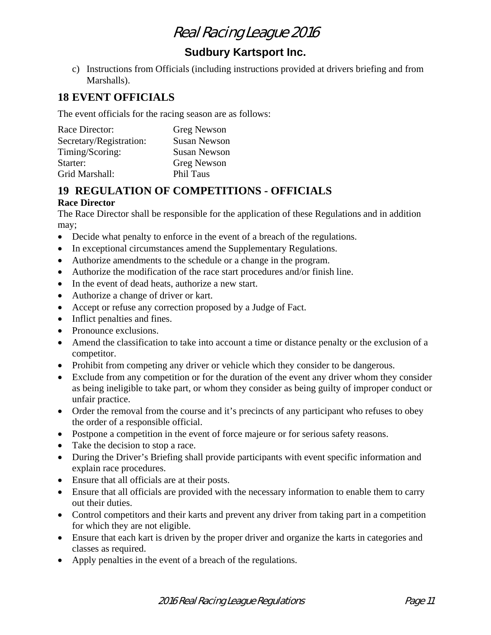## **Sudbury Kartsport Inc.**

c) Instructions from Officials (including instructions provided at drivers briefing and from Marshalls).

## **18 EVENT OFFICIALS**

The event officials for the racing season are as follows:

| Race Director:          | <b>Greg Newson</b>  |
|-------------------------|---------------------|
| Secretary/Registration: | <b>Susan Newson</b> |
| Timing/Scoring:         | <b>Susan Newson</b> |
| Starter:                | <b>Greg Newson</b>  |
| Grid Marshall:          | <b>Phil Taus</b>    |

## **19 REGULATION OF COMPETITIONS - OFFICIALS**

#### **Race Director**

The Race Director shall be responsible for the application of these Regulations and in addition may;

- Decide what penalty to enforce in the event of a breach of the regulations.
- In exceptional circumstances amend the Supplementary Regulations.
- Authorize amendments to the schedule or a change in the program.
- Authorize the modification of the race start procedures and/or finish line.
- In the event of dead heats, authorize a new start.
- Authorize a change of driver or kart.
- Accept or refuse any correction proposed by a Judge of Fact.
- Inflict penalties and fines.
- Pronounce exclusions.
- Amend the classification to take into account a time or distance penalty or the exclusion of a competitor.
- Prohibit from competing any driver or vehicle which they consider to be dangerous.
- Exclude from any competition or for the duration of the event any driver whom they consider as being ineligible to take part, or whom they consider as being guilty of improper conduct or unfair practice.
- Order the removal from the course and it's precincts of any participant who refuses to obey the order of a responsible official.
- Postpone a competition in the event of force majeure or for serious safety reasons.
- Take the decision to stop a race.
- During the Driver's Briefing shall provide participants with event specific information and explain race procedures.
- Ensure that all officials are at their posts.
- Ensure that all officials are provided with the necessary information to enable them to carry out their duties.
- Control competitors and their karts and prevent any driver from taking part in a competition for which they are not eligible.
- Ensure that each kart is driven by the proper driver and organize the karts in categories and classes as required.
- Apply penalties in the event of a breach of the regulations.